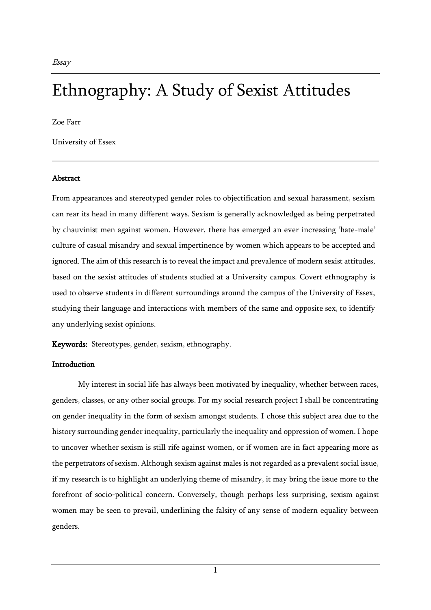**Essav** 

# Ethnography: A Study of Sexist Attitudes

Zoe Farr

University of Essex

#### Abstract

From appearances and stereotyped gender roles to objectification and sexual harassment, sexism can rear its head in many different ways. Sexism is generally acknowledged as being perpetrated by chauvinist men against women. However, there has emerged an ever increasing 'hate-male' culture of casual misandry and sexual impertinence by women which appears to be accepted and ignored. The aim of this research is to reveal the impact and prevalence of modern sexist attitudes, based on the sexist attitudes of students studied at a University campus. Covert ethnography is used to observe students in different surroundings around the campus of the University of Essex, studying their language and interactions with members of the same and opposite sex, to identify any underlying sexist opinions.

Keywords: Stereotypes, gender, sexism, ethnography.

#### **Introduction**

My interest in social life has always been motivated by inequality, whether between races, genders, classes, or any other social groups. For my social research project I shall be concentrating on gender inequality in the form of sexism amongst students. I chose this subject area due to the history surrounding gender inequality, particularly the inequality and oppression of women. I hope to uncover whether sexism is still rife against women, or if women are in fact appearing more as the perpetrators of sexism. Although sexism against males is not regarded as a prevalent social issue, if my research is to highlight an underlying theme of misandry, it may bring the issue more to the forefront of socio-political concern. Conversely, though perhaps less surprising, sexism against women may be seen to prevail, underlining the falsity of any sense of modern equality between genders.

1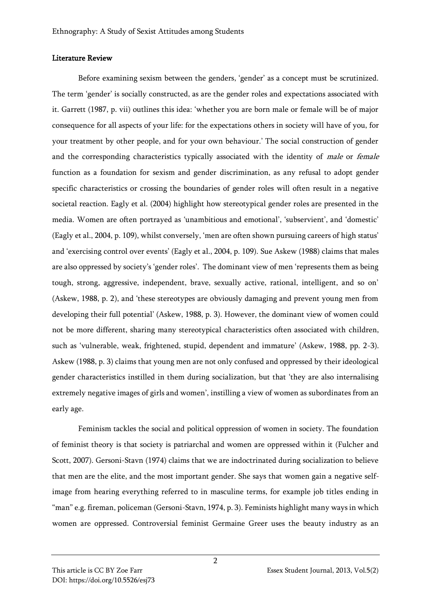#### Literature Review

Before examining sexism between the genders, 'gender' as a concept must be scrutinized. The term 'gender' is socially constructed, as are the gender roles and expectations associated with it. Garrett (1987, p. vii) outlines this idea: 'whether you are born male or female will be of major consequence for all aspects of your life: for the expectations others in society will have of you, for your treatment by other people, and for your own behaviour.' The social construction of gender and the corresponding characteristics typically associated with the identity of male or female function as a foundation for sexism and gender discrimination, as any refusal to adopt gender specific characteristics or crossing the boundaries of gender roles will often result in a negative societal reaction. Eagly et al. (2004) highlight how stereotypical gender roles are presented in the media. Women are often portrayed as 'unambitious and emotional', 'subservient', and 'domestic' (Eagly et al., 2004, p. 109), whilst conversely, 'men are often shown pursuing careers of high status' and 'exercising control over events' (Eagly et al., 2004, p. 109). Sue Askew (1988) claims that males are also oppressed by society's 'gender roles'. The dominant view of men 'represents them as being tough, strong, aggressive, independent, brave, sexually active, rational, intelligent, and so on' (Askew, 1988, p. 2), and 'these stereotypes are obviously damaging and prevent young men from developing their full potential' (Askew, 1988, p. 3). However, the dominant view of women could not be more different, sharing many stereotypical characteristics often associated with children, such as 'vulnerable, weak, frightened, stupid, dependent and immature' (Askew, 1988, pp. 2-3). Askew (1988, p. 3) claims that young men are not only confused and oppressed by their ideological gender characteristics instilled in them during socialization, but that 'they are also internalising extremely negative images of girls and women', instilling a view of women as subordinates from an early age.

Feminism tackles the social and political oppression of women in society. The foundation of feminist theory is that society is patriarchal and women are oppressed within it (Fulcher and Scott, 2007). Gersoni-Stavn (1974) claims that we are indoctrinated during socialization to believe that men are the elite, and the most important gender. She says that women gain a negative selfimage from hearing everything referred to in masculine terms, for example job titles ending in "man" e.g. fireman, policeman (Gersoni-Stavn, 1974, p. 3). Feminists highlight many ways in which women are oppressed. Controversial feminist Germaine Greer uses the beauty industry as an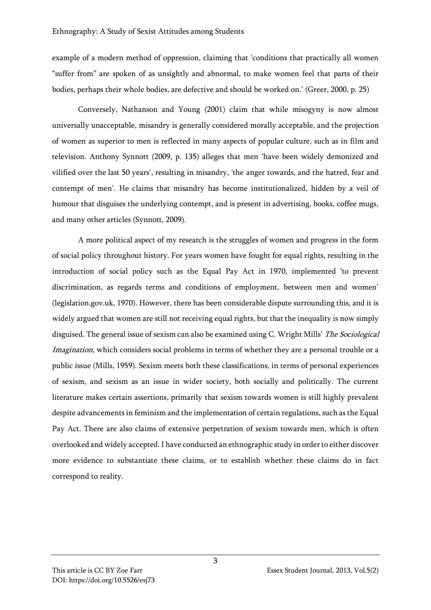example of a modern method of oppression, claiming that 'conditions that practically all women "suffer from" are spoken of as unsightly and abnormal, to make women feel that parts of their bodies, perhaps their whole bodies, are defective and should be worked on.' (Greer, 2000, p. 25)

Conversely, Nathanson and Young (2001) claim that while misogyny is now almost universally unacceptable, misandry is generally considered morally acceptable, and the projection of women as superior to men is reflected in many aspects of popular culture, such as in film and television. Anthony Synnott (2009, p. 135) alleges that men 'have been widely demonized and vilified over the last 50 years', resulting in misandry, 'the anger towards, and the hatred, fear and contempt of men'. He claims that misandry has become institutionalized, hidden by a veil of humour that disguises the underlying contempt, and is present in advertising, books, coffee mugs, and many other articles (Synnott, 2009).

A more political aspect of my research is the struggles of women and progress in the form of social policy throughout history. For years women have fought for equal rights, resulting in the introduction of social policy such as the Equal Pay Act in 1970, implemented 'to prevent discrimination, as regards terms and conditions of employment, between men and women' (legislation.gov.uk, 1970). However, there has been considerable dispute surrounding this, and it is widely argued that women are still not receiving equal rights, but that the inequality is now simply disguised. The general issue of sexism can also be examined using C. Wright Mills' The Sociological Imagination, which considers social problems in terms of whether they are a personal trouble or a public issue (Mills, 1959). Sexism meets both these classifications, in terms of personal experiences of sexism, and sexism as an issue in wider society, both socially and politically. The current literature makes certain assertions, primarily that sexism towards women is still highly prevalent despite advancements in feminism and the implementation of certain regulations, such as the Equal Pay Act. There are also claims of extensive perpetration of sexism towards men, which is often overlooked and widely accepted. I have conducted an ethnographic study in order to either discover more evidence to substantiate these claims, or to establish whether these claims do in fact correspond to reality.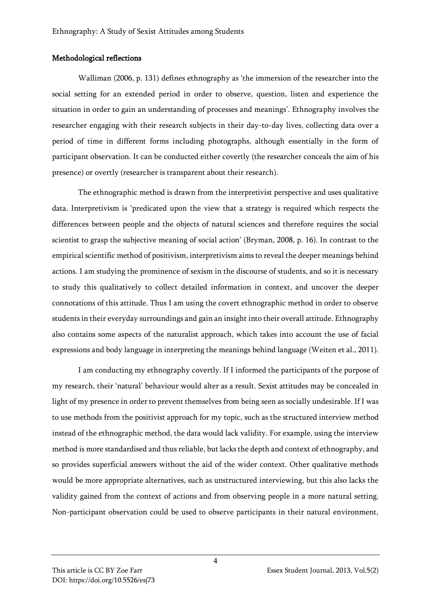#### Methodological reflections

Walliman (2006, p. 131) defines ethnography as 'the immersion of the researcher into the social setting for an extended period in order to observe, question, listen and experience the situation in order to gain an understanding of processes and meanings'. Ethnography involves the researcher engaging with their research subjects in their day-to-day lives, collecting data over a period of time in different forms including photographs, although essentially in the form of participant observation. It can be conducted either covertly (the researcher conceals the aim of his presence) or overtly (researcher is transparent about their research).

The ethnographic method is drawn from the interpretivist perspective and uses qualitative data. Interpretivism is 'predicated upon the view that a strategy is required which respects the differences between people and the objects of natural sciences and therefore requires the social scientist to grasp the subjective meaning of social action' (Bryman, 2008, p. 16). In contrast to the empirical scientific method of positivism, interpretivism aims to reveal the deeper meanings behind actions. I am studying the prominence of sexism in the discourse of students, and so it is necessary to study this qualitatively to collect detailed information in context, and uncover the deeper connotations of this attitude. Thus I am using the covert ethnographic method in order to observe students in their everyday surroundings and gain an insight into their overall attitude. Ethnography also contains some aspects of the naturalist approach, which takes into account the use of facial expressions and body language in interpreting the meanings behind language (Weiten et al., 2011).

I am conducting my ethnography covertly. If I informed the participants of the purpose of my research, their 'natural' behaviour would alter as a result. Sexist attitudes may be concealed in light of my presence in order to prevent themselves from being seen as socially undesirable. If I was to use methods from the positivist approach for my topic, such as the structured interview method instead of the ethnographic method, the data would lack validity. For example, using the interview method is more standardised and thus reliable, but lacks the depth and context of ethnography, and so provides superficial answers without the aid of the wider context. Other qualitative methods would be more appropriate alternatives, such as unstructured interviewing, but this also lacks the validity gained from the context of actions and from observing people in a more natural setting. Non-participant observation could be used to observe participants in their natural environment,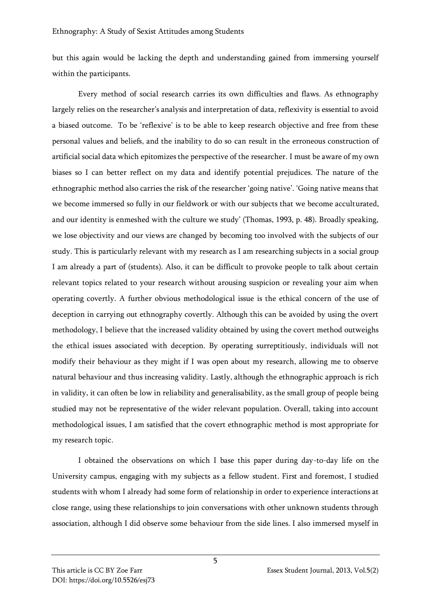but this again would be lacking the depth and understanding gained from immersing yourself within the participants.

Every method of social research carries its own difficulties and flaws. As ethnography largely relies on the researcher's analysis and interpretation of data, reflexivity is essential to avoid a biased outcome. To be 'reflexive' is to be able to keep research objective and free from these personal values and beliefs, and the inability to do so can result in the erroneous construction of artificial social data which epitomizes the perspective of the researcher. I must be aware of my own biases so I can better reflect on my data and identify potential prejudices. The nature of the ethnographic method also carries the risk of the researcher 'going native'. 'Going native means that we become immersed so fully in our fieldwork or with our subjects that we become acculturated, and our identity is enmeshed with the culture we study' (Thomas, 1993, p. 48). Broadly speaking, we lose objectivity and our views are changed by becoming too involved with the subjects of our study. This is particularly relevant with my research as I am researching subjects in a social group I am already a part of (students). Also, it can be difficult to provoke people to talk about certain relevant topics related to your research without arousing suspicion or revealing your aim when operating covertly. A further obvious methodological issue is the ethical concern of the use of deception in carrying out ethnography covertly. Although this can be avoided by using the overt methodology, I believe that the increased validity obtained by using the covert method outweighs the ethical issues associated with deception. By operating surreptitiously, individuals will not modify their behaviour as they might if I was open about my research, allowing me to observe natural behaviour and thus increasing validity. Lastly, although the ethnographic approach is rich in validity, it can often be low in reliability and generalisability, as the small group of people being studied may not be representative of the wider relevant population. Overall, taking into account methodological issues, I am satisfied that the covert ethnographic method is most appropriate for my research topic.

I obtained the observations on which I base this paper during day-to-day life on the University campus, engaging with my subjects as a fellow student. First and foremost, I studied students with whom I already had some form of relationship in order to experience interactions at close range, using these relationships to join conversations with other unknown students through association, although I did observe some behaviour from the side lines. I also immersed myself in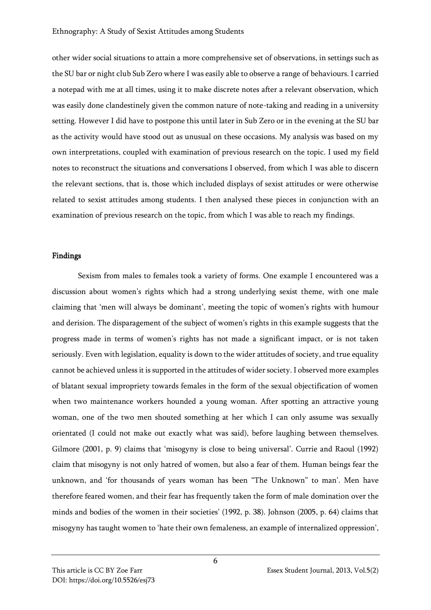other wider social situations to attain a more comprehensive set of observations, in settings such as the SU bar or night club Sub Zero where I was easily able to observe a range of behaviours. I carried a notepad with me at all times, using it to make discrete notes after a relevant observation, which was easily done clandestinely given the common nature of note-taking and reading in a university setting. However I did have to postpone this until later in Sub Zero or in the evening at the SU bar as the activity would have stood out as unusual on these occasions. My analysis was based on my own interpretations, coupled with examination of previous research on the topic. I used my field notes to reconstruct the situations and conversations I observed, from which I was able to discern the relevant sections, that is, those which included displays of sexist attitudes or were otherwise related to sexist attitudes among students. I then analysed these pieces in conjunction with an examination of previous research on the topic, from which I was able to reach my findings.

#### Findings

Sexism from males to females took a variety of forms. One example I encountered was a discussion about women's rights which had a strong underlying sexist theme, with one male claiming that 'men will always be dominant', meeting the topic of women's rights with humour and derision. The disparagement of the subject of women's rights in this example suggests that the progress made in terms of women's rights has not made a significant impact, or is not taken seriously. Even with legislation, equality is down to the wider attitudes of society, and true equality cannot be achieved unless it is supported in the attitudes of wider society. I observed more examples of blatant sexual impropriety towards females in the form of the sexual objectification of women when two maintenance workers hounded a young woman. After spotting an attractive young woman, one of the two men shouted something at her which I can only assume was sexually orientated (I could not make out exactly what was said), before laughing between themselves. Gilmore (2001, p. 9) claims that 'misogyny is close to being universal'. Currie and Raoul (1992) claim that misogyny is not only hatred of women, but also a fear of them. Human beings fear the unknown, and 'for thousands of years woman has been "The Unknown" to man'. Men have therefore feared women, and their fear has frequently taken the form of male domination over the minds and bodies of the women in their societies' (1992, p. 38). Johnson (2005, p. 64) claims that misogyny has taught women to 'hate their own femaleness, an example of internalized oppression',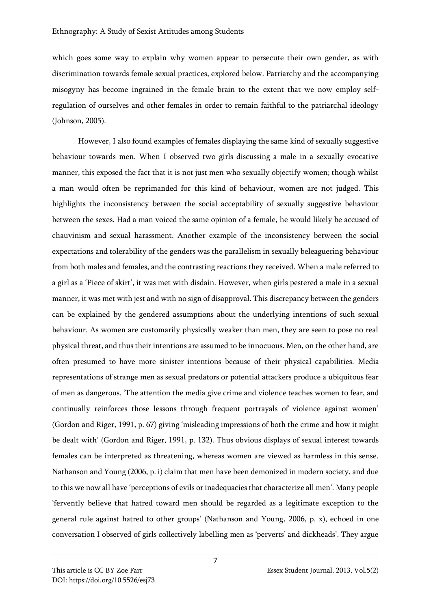which goes some way to explain why women appear to persecute their own gender, as with discrimination towards female sexual practices, explored below. Patriarchy and the accompanying misogyny has become ingrained in the female brain to the extent that we now employ selfregulation of ourselves and other females in order to remain faithful to the patriarchal ideology (Johnson, 2005).

However, I also found examples of females displaying the same kind of sexually suggestive behaviour towards men. When I observed two girls discussing a male in a sexually evocative manner, this exposed the fact that it is not just men who sexually objectify women; though whilst a man would often be reprimanded for this kind of behaviour, women are not judged. This highlights the inconsistency between the social acceptability of sexually suggestive behaviour between the sexes. Had a man voiced the same opinion of a female, he would likely be accused of chauvinism and sexual harassment. Another example of the inconsistency between the social expectations and tolerability of the genders was the parallelism in sexually beleaguering behaviour from both males and females, and the contrasting reactions they received. When a male referred to a girl as a 'Piece of skirt', it was met with disdain. However, when girls pestered a male in a sexual manner, it was met with jest and with no sign of disapproval. This discrepancy between the genders can be explained by the gendered assumptions about the underlying intentions of such sexual behaviour. As women are customarily physically weaker than men, they are seen to pose no real physical threat, and thus their intentions are assumed to be innocuous. Men, on the other hand, are often presumed to have more sinister intentions because of their physical capabilities. Media representations of strange men as sexual predators or potential attackers produce a ubiquitous fear of men as dangerous. 'The attention the media give crime and violence teaches women to fear, and continually reinforces those lessons through frequent portrayals of violence against women' (Gordon and Riger, 1991, p. 67) giving 'misleading impressions of both the crime and how it might be dealt with' (Gordon and Riger, 1991, p. 132). Thus obvious displays of sexual interest towards females can be interpreted as threatening, whereas women are viewed as harmless in this sense. Nathanson and Young (2006, p. i) claim that men have been demonized in modern society, and due to this we now all have 'perceptions of evils or inadequacies that characterize all men'. Many people 'fervently believe that hatred toward men should be regarded as a legitimate exception to the general rule against hatred to other groups' (Nathanson and Young, 2006, p. x), echoed in one conversation I observed of girls collectively labelling men as 'perverts' and dickheads'. They argue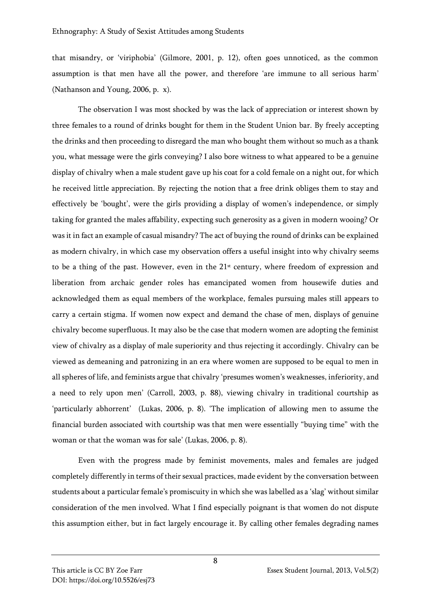that misandry, or 'viriphobia' (Gilmore, 2001, p. 12), often goes unnoticed, as the common assumption is that men have all the power, and therefore 'are immune to all serious harm' (Nathanson and Young, 2006, p. x).

The observation I was most shocked by was the lack of appreciation or interest shown by three females to a round of drinks bought for them in the Student Union bar. By freely accepting the drinks and then proceeding to disregard the man who bought them without so much as a thank you, what message were the girls conveying? I also bore witness to what appeared to be a genuine display of chivalry when a male student gave up his coat for a cold female on a night out, for which he received little appreciation. By rejecting the notion that a free drink obliges them to stay and effectively be 'bought', were the girls providing a display of women's independence, or simply taking for granted the males affability, expecting such generosity as a given in modern wooing? Or was it in fact an example of casual misandry? The act of buying the round of drinks can be explained as modern chivalry, in which case my observation offers a useful insight into why chivalry seems to be a thing of the past. However, even in the 21<sup>st</sup> century, where freedom of expression and liberation from archaic gender roles has emancipated women from housewife duties and acknowledged them as equal members of the workplace, females pursuing males still appears to carry a certain stigma. If women now expect and demand the chase of men, displays of genuine chivalry become superfluous. It may also be the case that modern women are adopting the feminist view of chivalry as a display of male superiority and thus rejecting it accordingly. Chivalry can be viewed as demeaning and patronizing in an era where women are supposed to be equal to men in all spheres of life, and feminists argue that chivalry 'presumes women's weaknesses, inferiority, and a need to rely upon men' (Carroll, 2003, p. 88), viewing chivalry in traditional courtship as 'particularly abhorrent' (Lukas, 2006, p. 8). 'The implication of allowing men to assume the financial burden associated with courtship was that men were essentially "buying time" with the woman or that the woman was for sale' (Lukas, 2006, p. 8).

Even with the progress made by feminist movements, males and females are judged completely differently in terms of their sexual practices, made evident by the conversation between students about a particular female's promiscuity in which she was labelled as a 'slag' without similar consideration of the men involved. What I find especially poignant is that women do not dispute this assumption either, but in fact largely encourage it. By calling other females degrading names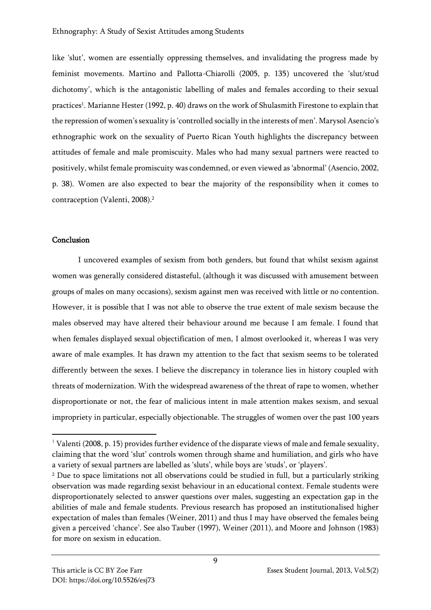like 'slut', women are essentially oppressing themselves, and invalidating the progress made by feminist movements. Martino and Pallotta-Chiarolli (2005, p. 135) uncovered the 'slut/stud dichotomy', which is the antagonistic labelling of males and females according to their sexual practices<sup>1</sup>. Marianne Hester (1992, p. 40) draws on the work of Shulasmith Firestone to explain that the repression of women's sexuality is 'controlled socially in the interests of men'. Marysol Asencio's ethnographic work on the sexuality of Puerto Rican Youth highlights the discrepancy between attitudes of female and male promiscuity. Males who had many sexual partners were reacted to positively, whilst female promiscuity was condemned, or even viewed as 'abnormal' (Asencio, 2002, p. 38). Women are also expected to bear the majority of the responsibility when it comes to contraception (Valenti, 2008).<sup>2</sup>

### Conclusion

I uncovered examples of sexism from both genders, but found that whilst sexism against women was generally considered distasteful, (although it was discussed with amusement between groups of males on many occasions), sexism against men was received with little or no contention. However, it is possible that I was not able to observe the true extent of male sexism because the males observed may have altered their behaviour around me because I am female. I found that when females displayed sexual objectification of men, I almost overlooked it, whereas I was very aware of male examples. It has drawn my attention to the fact that sexism seems to be tolerated differently between the sexes. I believe the discrepancy in tolerance lies in history coupled with threats of modernization. With the widespread awareness of the threat of rape to women, whether disproportionate or not, the fear of malicious intent in male attention makes sexism, and sexual impropriety in particular, especially objectionable. The struggles of women over the past 100 years

<sup>&</sup>lt;sup>1</sup> Valenti (2008, p. 15) provides further evidence of the disparate views of male and female sexuality, claiming that the word 'slut' controls women through shame and humiliation, and girls who have a variety of sexual partners are labelled as 'sluts', while boys are 'studs', or 'players'.

<sup>&</sup>lt;sup>2</sup> Due to space limitations not all observations could be studied in full, but a particularly striking observation was made regarding sexist behaviour in an educational context. Female students were disproportionately selected to answer questions over males, suggesting an expectation gap in the abilities of male and female students. Previous research has proposed an institutionalised higher expectation of males than females (Weiner, 2011) and thus I may have observed the females being given a perceived 'chance'. See also Tauber (1997), Weiner (2011), and Moore and Johnson (1983) for more on sexism in education.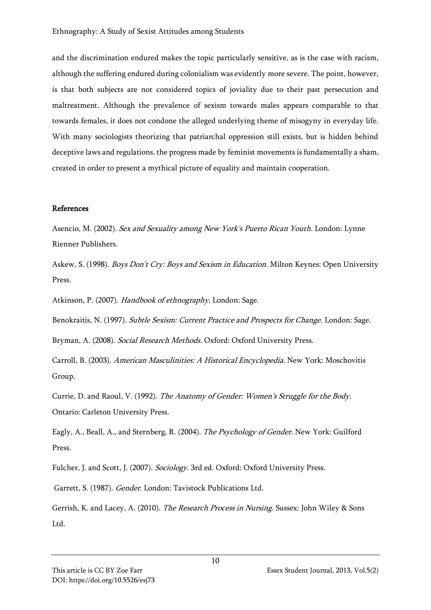and the discrimination endured makes the topic particularly sensitive, as is the case with racism, although the suffering endured during colonialism was evidently more severe. The point, however, is that both subjects are not considered topics of joviality due to their past persecution and maltreatment. Although the prevalence of sexism towards males appears comparable to that towards females, it does not condone the alleged underlying theme of misogyny in everyday life. With many sociologists theorizing that patriarchal oppression still exists, but is hidden behind deceptive laws and regulations, the progress made by feminist movements is fundamentally a sham, created in order to present a mythical picture of equality and maintain cooperation.

## References

Asencio, M. (2002). Sex and Sexuality among New York's Puerto Rican Youth. London: Lynne Rienner Publishers.

Askew, S. (1998). *Boys Don't Cry: Boys and Sexism in Education*. Milton Keynes: Open University Press.

Atkinson, P. (2007). Handbook of ethnography. London: Sage.

Benokraitis, N. (1997). Subtle Sexism: Current Practice and Prospects for Change. London: Sage.

Bryman, A. (2008). Social Research Methods. Oxford: Oxford University Press.

Carroll, B. (2003). American Masculinities: A Historical Encyclopedia. New York: Moschovitis Group.

Currie, D. and Raoul, V. (1992). The Anatomy of Gender: Women's Struggle for the Body. Ontario: Carleton University Press.

Eagly, A., Beall, A., and Sternberg, R. (2004). The Psychology of Gender. New York: Guilford Press.

Fulcher, J. and Scott, J. (2007). Sociology. 3rd ed. Oxford: Oxford University Press.

Garrett, S. (1987). Gender. London: Tavistock Publications Ltd.

Gerrish, K. and Lacey, A. (2010). *The Research Process in Nursing*. Sussex: John Wiley & Sons Ltd.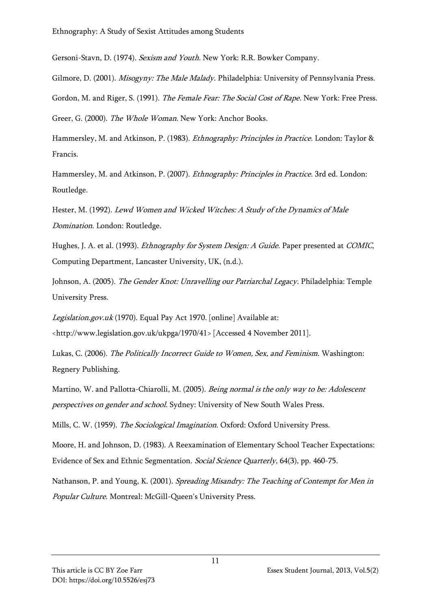Gersoni-Stavn, D. (1974). Sexism and Youth. New York: R.R. Bowker Company.

Gilmore, D. (2001). *Misogyny: The Male Malady*. Philadelphia: University of Pennsylvania Press. Gordon, M. and Riger, S. (1991). The Female Fear: The Social Cost of Rape. New York: Free Press. Greer, G. (2000). The Whole Woman. New York: Anchor Books.

Hammersley, M. and Atkinson, P. (1983). Ethnography: Principles in Practice. London: Taylor & Francis.

Hammersley, M. and Atkinson, P. (2007). Ethnography: Principles in Practice. 3rd ed. London: Routledge.

Hester, M. (1992). Lewd Women and Wicked Witches: A Study of the Dynamics of Male Domination. London: Routledge.

Hughes, J. A. et al. (1993). *Ethnography for System Design: A Guide*. Paper presented at *COMIC*, Computing Department, Lancaster University, UK, (n.d.).

Johnson, A. (2005). The Gender Knot: Unravelling our Patriarchal Legacy. Philadelphia: Temple University Press.

Legislation.gov.uk (1970). Equal Pay Act 1970. [online] Available at:

<http://www.legislation.gov.uk/ukpga/1970/41> [Accessed 4 November 2011].

Lukas, C. (2006). The Politically Incorrect Guide to Women, Sex, and Feminism. Washington: Regnery Publishing.

Martino, W. and Pallotta-Chiarolli, M. (2005). Being normal is the only way to be: Adolescent perspectives on gender and school. Sydney: University of New South Wales Press.

Mills, C. W. (1959). The Sociological Imagination. Oxford: Oxford University Press.

Moore, H. and Johnson, D. (1983). A Reexamination of Elementary School Teacher Expectations: Evidence of Sex and Ethnic Segmentation. Social Science Quarterly, 64(3), pp. 460-75.

Nathanson, P. and Young, K. (2001). Spreading Misandry: The Teaching of Contempt for Men in Popular Culture. Montreal: McGill-Queen's University Press.